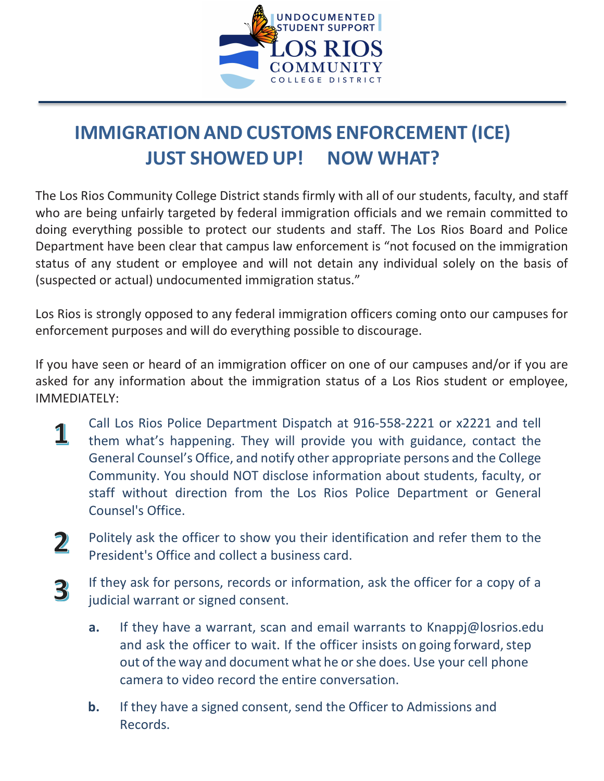

## **IMMIGRATIONAND CUSTOMS ENFORCEMENT (ICE) JUST SHOWED UP! NOW WHAT?**

The Los Rios Community College District stands firmly with all of our students, faculty, and staff who are being unfairly targeted by federal immigration officials and we remain committed to doing everything possible to protect our students and staff. The Los Rios Board and Police Department have been clear that campus law enforcement is "not focused on the immigration status of any student or employee and will not detain any individual solely on the basis of (suspected or actual) undocumented immigration status."

Los Rios is strongly opposed to any federal immigration officers coming onto our campuses for enforcement purposes and will do everything possible to discourage.

If you have seen or heard of an immigration officer on one of our campuses and/or if you are asked for any information about the immigration status of a Los Rios student or employee, IMMEDIATELY:

- Call Los Rios Police Department Dispatch at 916-558-2221 or x2221 and tell 1 them what's happening. They will provide you with guidance, contact the General Counsel's Office, and notify other appropriate persons and the College Community. You should NOT disclose information about students, faculty, or staff without direction from the Los Rios Police Department or General Counsel's Office.
- $\mathbf 2$ Politely ask the officer to show you their identification and refer them to the President's Office and collect a business card.
- If they ask for persons, records or information, ask the officer for a copy of a 3 judicial warrant or signed consent.
	- **a.** If they have a warrant, scan and email warrants to [Knappj@losrios](mailto:sherryj@losrios.edu).edu and ask the officer to wait. If the officer insists on going forward, step out of the way and document what he or she does. Use your cell phone camera to video record the entire conversation.
	- **b.** If they have a signed consent, send the Officer to Admissions and Records.